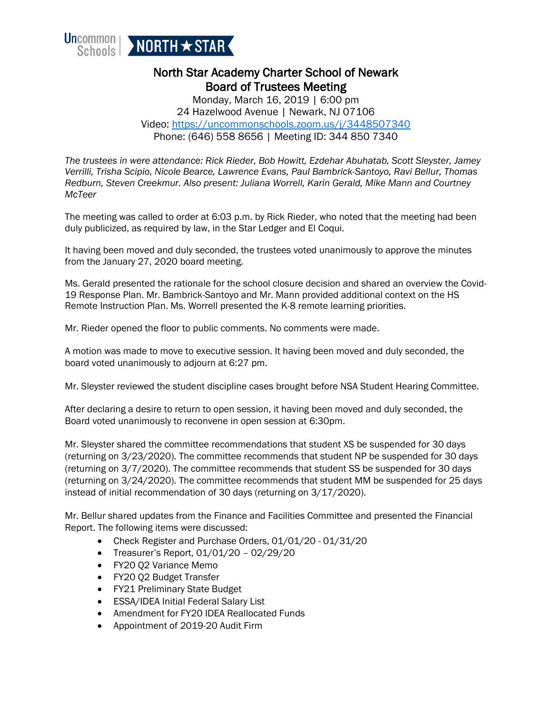

## North Star Academy Charter School of Newark Board of Trustees Meeting

Monday, March 16, 2019 | 6:00 pm 24 Hazelwood Avenue | Newark, NJ 07106 Video:<https://uncommonschools.zoom.us/j/3448507340> Phone: (646) 558 8656 | Meeting ID: 344 850 7340

*The trustees in were attendance: Rick Rieder, Bob Howitt, Ezdehar Abuhatab, Scott Sleyster, Jamey Verrilli, Trisha Scipio, Nicole Bearce, Lawrence Evans, Paul Bambrick-Santoyo, Ravi Bellur, Thomas Redburn, Steven Creekmur. Also present: Juliana Worrell, Karin Gerald, Mike Mann and Courtney McTeer*

The meeting was called to order at 6:03 p.m. by Rick Rieder, who noted that the meeting had been duly publicized, as required by law, in the Star Ledger and El Coqui.

It having been moved and duly seconded, the trustees voted unanimously to approve the minutes from the January 27, 2020 board meeting.

Ms. Gerald presented the rationale for the school closure decision and shared an overview the Covid-19 Response Plan. Mr. Bambrick-Santoyo and Mr. Mann provided additional context on the HS Remote Instruction Plan. Ms. Worrell presented the K-8 remote learning priorities.

Mr. Rieder opened the floor to public comments. No comments were made.

A motion was made to move to executive session. It having been moved and duly seconded, the board voted unanimously to adjourn at 6:27 pm.

Mr. Sleyster reviewed the student discipline cases brought before NSA Student Hearing Committee.

After declaring a desire to return to open session, it having been moved and duly seconded, the Board voted unanimously to reconvene in open session at 6:30pm.

Mr. Sleyster shared the committee recommendations that student XS be suspended for 30 days (returning on 3/23/2020). The committee recommends that student NP be suspended for 30 days (returning on 3/7/2020). The committee recommends that student SS be suspended for 30 days (returning on 3/24/2020). The committee recommends that student MM be suspended for 25 days instead of initial recommendation of 30 days (returning on 3/17/2020).

Mr. Bellur shared updates from the Finance and Facilities Committee and presented the Financial Report. The following items were discussed:

- Check Register and Purchase Orders, 01/01/20 01/31/20
- Treasurer's Report, 01/01/20 02/29/20
- FY20 Q2 Variance Memo
- FY20 Q2 Budget Transfer
- FY21 Preliminary State Budget
- ESSA/IDEA Initial Federal Salary List
- Amendment for FY20 IDEA Reallocated Funds
- Appointment of 2019-20 Audit Firm